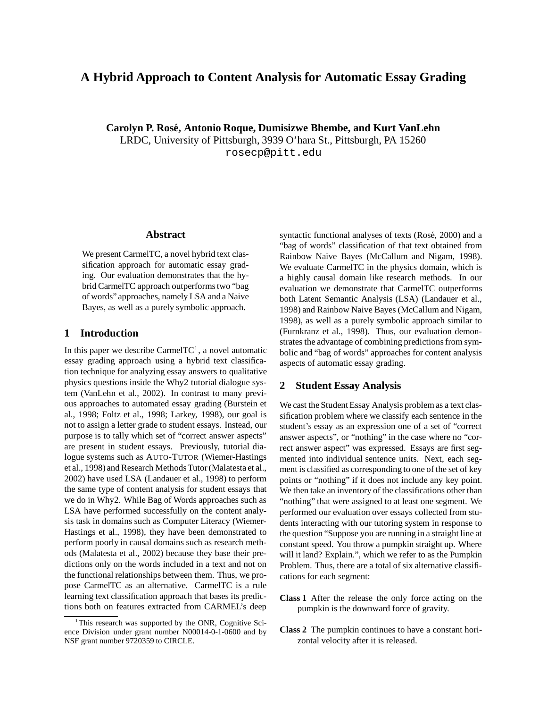# **A Hybrid Approach to Content Analysis for Automatic Essay Grading**

**Carolyn P. Rose,´ Antonio Roque, Dumisizwe Bhembe, and Kurt VanLehn** LRDC, University of Pittsburgh, 3939 O'hara St., Pittsburgh, PA 15260 rosecp@pitt.edu

#### **Abstract**

We present CarmelTC, a novel hybrid text classification approach for automatic essay grading. Our evaluation demonstrates that the hybrid CarmelTC approach outperformstwo "bag of words" approaches, namely LSA and a Naive Bayes, as well as a purely symbolic approach.

### **1 Introduction**

In this paper we describe CarmelTC<sup>1</sup>, a novel automatic essay grading approach using a hybrid text classification technique for analyzing essay answers to qualitative physics questions inside the Why2 tutorial dialogue system (VanLehn et al., 2002). In contrast to many previous approaches to automated essay grading (Burstein et al., 1998; Foltz et al., 1998; Larkey, 1998), our goal is not to assign a letter grade to student essays. Instead, our purpose is to tally which set of "correct answer aspects" are present in student essays. Previously, tutorial dialogue systems such as AUTO-TUTOR (Wiemer-Hastings et al., 1998) and Research MethodsTutor(Malatesta et al., 2002) have used LSA (Landauer et al., 1998) to perform the same type of content analysis for student essays that we do in Why2. While Bag of Words approaches such as LSA have performed successfully on the content analysis task in domains such as Computer Literacy (Wiemer-Hastings et al., 1998), they have been demonstrated to perform poorly in causal domains such as research methods (Malatesta et al., 2002) because they base their predictions only on the words included in a text and not on the functional relationships between them. Thus, we propose CarmelTC as an alternative. CarmelTC is a rule learning text classification approach that bases its predictions both on features extracted from CARMEL's deep syntactic functional analyses of texts (Rosé, 2000) and a "bag of words" classification of that text obtained from Rainbow Naive Bayes (McCallum and Nigam, 1998). We evaluate CarmelTC in the physics domain, which is a highly causal domain like research methods. In our evaluation we demonstrate that CarmelTC outperforms both Latent Semantic Analysis (LSA) (Landauer et al., 1998) and Rainbow Naive Bayes (McCallum and Nigam, 1998), as well as a purely symbolic approach similar to (Furnkranz et al., 1998). Thus, our evaluation demonstrates the advantage of combining predictions from symbolic and "bag of words" approaches for content analysis aspects of automatic essay grading.

## **2 Student Essay Analysis**

We cast the Student Essay Analysis problem as a text classification problem where we classify each sentence in the student's essay as an expression one of a set of "correct answer aspects", or "nothing" in the case where no "correct answer aspect" was expressed. Essays are first segmented into individual sentence units. Next, each segment is classified as corresponding to one of the set of key points or "nothing" if it does not include any key point. We then take an inventory of the classifications other than "nothing" that were assigned to at least one segment. We performed our evaluation over essays collected from students interacting with our tutoring system in response to the question "Suppose you are running in a straight line at constant speed. You throw a pumpkin straight up. Where will it land? Explain.", which we refer to as the Pumpkin Problem. Thus, there are a total of six alternative classifications for each segment:

- **Class 1** After the release the only force acting on the pumpkin is the downward force of gravity.
- **Class 2** The pumpkin continues to have a constant horizontal velocity after it is released.

<sup>&</sup>lt;sup>1</sup>This research was supported by the ONR, Cognitive Science Division under grant number N00014-0-1-0600 and by NSF grant number 9720359 to CIRCLE.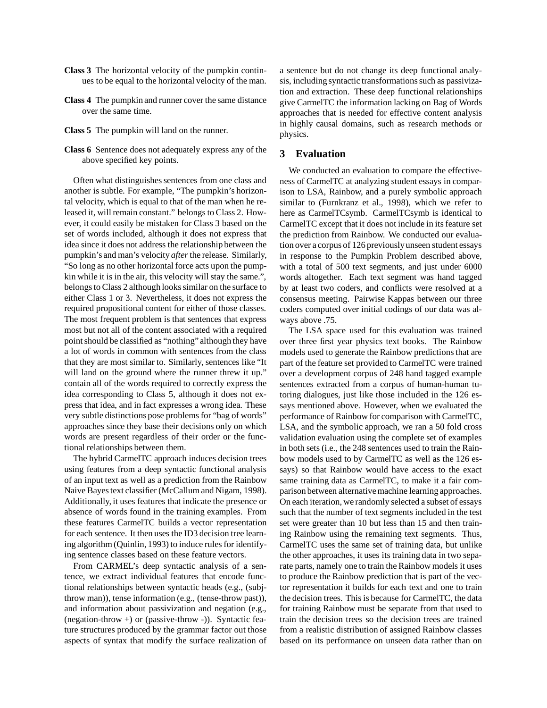- **Class 3** The horizontal velocity of the pumpkin continues to be equal to the horizontal velocity of the man.
- **Class 4** The pumpkin and runner cover the same distance over the same time.
- **Class 5** The pumpkin will land on the runner.
- **Class 6** Sentence does not adequately express any of the above specified key points.

Often what distinguishes sentences from one class and another is subtle. For example, "The pumpkin's horizontal velocity, which is equal to that of the man when he released it, will remain constant." belongs to Class 2. However, it could easily be mistaken for Class 3 based on the set of words included, although it does not express that idea since it does not address the relationship between the pumpkin's and man's velocity *after* the release. Similarly, "So long as no other horizontal force acts upon the pumpkin while it is in the air, this velocity will stay the same.", belongs to Class 2 although looks similar on the surface to either Class 1 or 3. Nevertheless, it does not express the required propositional content for either of those classes. The most frequent problem is that sentences that express most but not all of the content associated with a required point should be classified as "nothing" although they have a lot of words in common with sentences from the class that they are most similar to. Similarly, sentences like "It will land on the ground where the runner threw it up." contain all of the words required to correctly express the idea corresponding to Class 5, although it does not express that idea, and in fact expresses a wrong idea. These very subtle distinctions pose problems for "bag of words" approaches since they base their decisions only on which words are present regardless of their order or the functional relationships between them.

The hybrid CarmelTC approach induces decision trees using features from a deep syntactic functional analysis of an input text as well as a prediction from the Rainbow Naive Bayes text classifier (McCallum and Nigam, 1998). Additionally, it uses features that indicate the presence or absence of words found in the training examples. From these features CarmelTC builds a vector representation for each sentence. It then uses the ID3 decision tree learning algorithm (Quinlin, 1993) to induce rules for identifying sentence classes based on these feature vectors.

From CARMEL's deep syntactic analysis of a sentence, we extract individual features that encode functional relationships between syntactic heads (e.g., (subjthrow man)), tense information (e.g., (tense-throw past)), and information about passivization and negation (e.g., (negation-throw +) or (passive-throw -)). Syntactic feature structures produced by the grammar factor out those aspects of syntax that modify the surface realization of a sentence but do not change its deep functional analysis, including syntactic transformations such as passivization and extraction. These deep functional relationships give CarmelTC the information lacking on Bag of Words approaches that is needed for effective content analysis in highly causal domains, such as research methods or physics.

# **3 Evaluation**

We conducted an evaluation to compare the effectiveness of CarmelTC at analyzing student essays in comparison to LSA, Rainbow, and a purely symbolic approach similar to (Furnkranz et al., 1998), which we refer to here as CarmelTCsymb. CarmelTCsymb is identical to CarmelTC except that it does not include in its feature set the prediction from Rainbow. We conducted our evaluation over a corpus of 126 previouslyunseen student essays in response to the Pumpkin Problem described above, with a total of 500 text segments, and just under 6000 words altogether. Each text segment was hand tagged by at least two coders, and conflicts were resolved at a consensus meeting. Pairwise Kappas between our three coders computed over initial codings of our data was always above .75.

The LSA space used for this evaluation was trained over three first year physics text books. The Rainbow models used to generate the Rainbow predictions that are part of the feature set provided to CarmelTC were trained over a development corpus of 248 hand tagged example sentences extracted from a corpus of human-human tutoring dialogues, just like those included in the 126 essays mentioned above. However, when we evaluated the performance of Rainbow for comparison with CarmelTC, LSA, and the symbolic approach, we ran a 50 fold cross validation evaluation using the complete set of examples in both sets (i.e., the 248 sentences used to train the Rainbow models used to by CarmelTC as well as the 126 essays) so that Rainbow would have access to the exact same training data as CarmelTC, to make it a fair comparison between alternative machine learning approaches. On each iteration, we randomly selected a subset of essays such that the number of text segments included in the test set were greater than 10 but less than 15 and then training Rainbow using the remaining text segments. Thus, CarmelTC uses the same set of training data, but unlike the other approaches, it uses its training data in two separate parts, namely one to train the Rainbow models it uses to produce the Rainbow prediction that is part of the vector representation it builds for each text and one to train the decision trees. This is because for CarmelTC, the data for training Rainbow must be separate from that used to train the decision trees so the decision trees are trained from a realistic distribution of assigned Rainbow classes based on its performance on unseen data rather than on